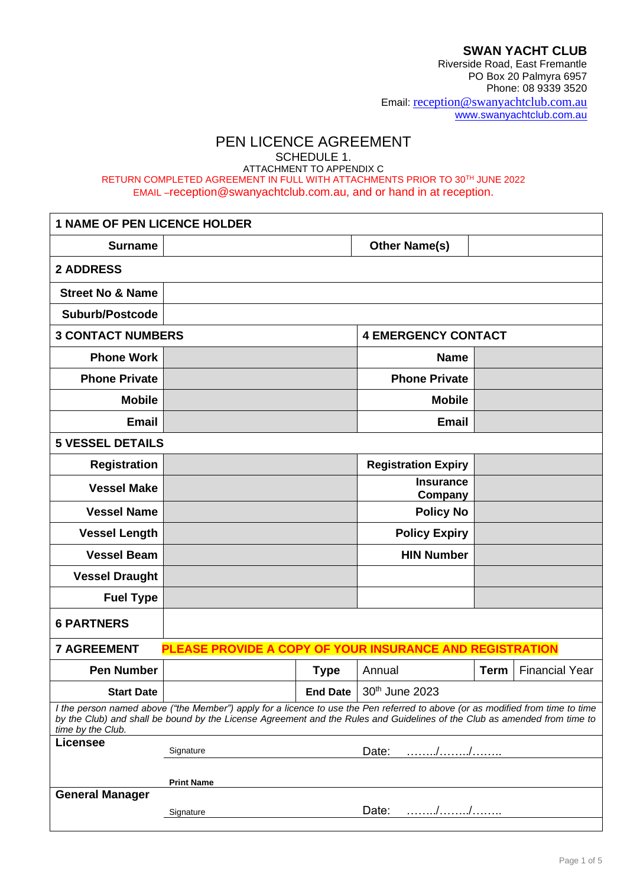**SWAN YACHT CLUB**

Riverside Road, East Fremantle PO Box 20 Palmyra 6957 Phone: 08 9339 3520 Email: [reception@swanyachtclub.com.au](mailto:reception@swanyachtclub.com.au) [www.swanyachtclub.com.au](http://www.swanyachtclub.com.au/)

# PEN LICENCE AGREEMENT

SCHEDULE 1.

ATTACHMENT TO APPENDIX C RETURN COMPLETED AGREEMENT IN FULL WITH ATTACHMENTS PRIOR TO 30TH JUNE 2022 EMAIL –reception@swanyachtclub.com.au, and or hand in at reception.

| <b>1 NAME OF PEN LICENCE HOLDER</b>                                                                                                                                                                                                                                              |                                                          |                 |                             |             |                       |
|----------------------------------------------------------------------------------------------------------------------------------------------------------------------------------------------------------------------------------------------------------------------------------|----------------------------------------------------------|-----------------|-----------------------------|-------------|-----------------------|
| <b>Surname</b>                                                                                                                                                                                                                                                                   |                                                          |                 | <b>Other Name(s)</b>        |             |                       |
| <b>2 ADDRESS</b>                                                                                                                                                                                                                                                                 |                                                          |                 |                             |             |                       |
| <b>Street No &amp; Name</b>                                                                                                                                                                                                                                                      |                                                          |                 |                             |             |                       |
| <b>Suburb/Postcode</b>                                                                                                                                                                                                                                                           |                                                          |                 |                             |             |                       |
| <b>3 CONTACT NUMBERS</b>                                                                                                                                                                                                                                                         | <b>4 EMERGENCY CONTACT</b>                               |                 |                             |             |                       |
| <b>Phone Work</b>                                                                                                                                                                                                                                                                |                                                          |                 | <b>Name</b>                 |             |                       |
| <b>Phone Private</b>                                                                                                                                                                                                                                                             |                                                          |                 | <b>Phone Private</b>        |             |                       |
| <b>Mobile</b>                                                                                                                                                                                                                                                                    |                                                          |                 | <b>Mobile</b>               |             |                       |
| <b>Email</b>                                                                                                                                                                                                                                                                     |                                                          |                 | <b>Email</b>                |             |                       |
| <b>5 VESSEL DETAILS</b>                                                                                                                                                                                                                                                          |                                                          |                 |                             |             |                       |
| <b>Registration</b>                                                                                                                                                                                                                                                              |                                                          |                 | <b>Registration Expiry</b>  |             |                       |
| <b>Vessel Make</b>                                                                                                                                                                                                                                                               |                                                          |                 | <b>Insurance</b><br>Company |             |                       |
| <b>Vessel Name</b>                                                                                                                                                                                                                                                               |                                                          |                 | <b>Policy No</b>            |             |                       |
| <b>Vessel Length</b>                                                                                                                                                                                                                                                             |                                                          |                 | <b>Policy Expiry</b>        |             |                       |
| <b>Vessel Beam</b>                                                                                                                                                                                                                                                               |                                                          |                 | <b>HIN Number</b>           |             |                       |
| <b>Vessel Draught</b>                                                                                                                                                                                                                                                            |                                                          |                 |                             |             |                       |
| <b>Fuel Type</b>                                                                                                                                                                                                                                                                 |                                                          |                 |                             |             |                       |
| <b>6 PARTNERS</b>                                                                                                                                                                                                                                                                |                                                          |                 |                             |             |                       |
| <b>7 AGREEMENT</b>                                                                                                                                                                                                                                                               | PLEASE PROVIDE A COPY OF YOUR INSURANCE AND REGISTRATION |                 |                             |             |                       |
| <b>Pen Number</b>                                                                                                                                                                                                                                                                |                                                          | <b>Type</b>     | Annual                      | <b>Term</b> | <b>Financial Year</b> |
| <b>Start Date</b>                                                                                                                                                                                                                                                                |                                                          | <b>End Date</b> | 30th June 2023              |             |                       |
| I the person named above ("the Member") apply for a licence to use the Pen referred to above (or as modified from time to time<br>by the Club) and shall be bound by the License Agreement and the Rules and Guidelines of the Club as amended from time to<br>time by the Club. |                                                          |                 |                             |             |                       |
| <b>Licensee</b>                                                                                                                                                                                                                                                                  | Signature                                                |                 | . / /<br>Date:              |             |                       |
|                                                                                                                                                                                                                                                                                  |                                                          |                 |                             |             |                       |
| <b>General Manager</b>                                                                                                                                                                                                                                                           | <b>Print Name</b>                                        |                 |                             |             |                       |
|                                                                                                                                                                                                                                                                                  | Signature                                                |                 | Date:                       |             |                       |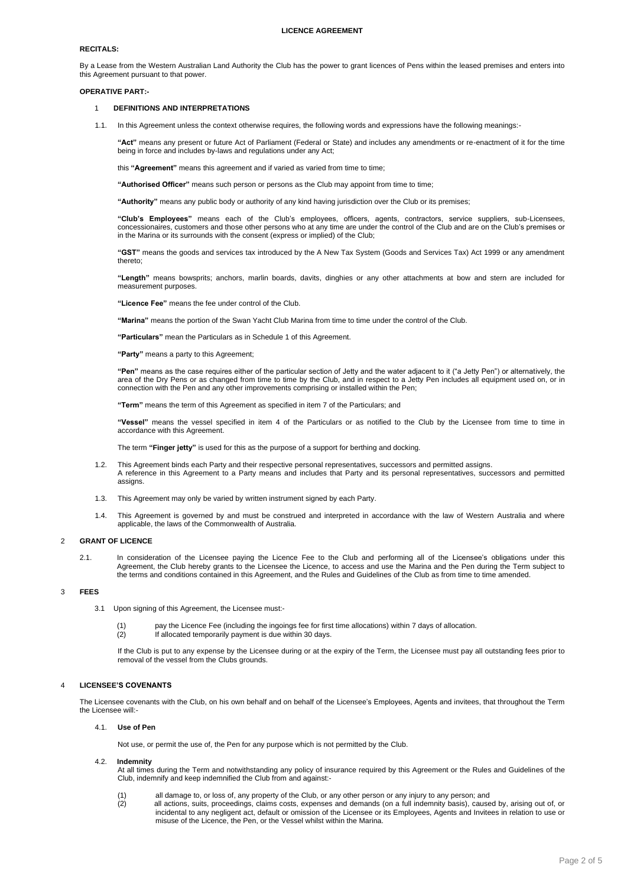# **LICENCE AGREEMENT**

# **RECITALS:**

By a Lease from the Western Australian Land Authority the Club has the power to grant licences of Pens within the leased premises and enters into this Agreement pursuant to that power.

# **OPERATIVE PART:-**

# 1 **DEFINITIONS AND INTERPRETATIONS**

1.1. In this Agreement unless the context otherwise requires, the following words and expressions have the following meanings:-

**"Act"** means any present or future Act of Parliament (Federal or State) and includes any amendments or re-enactment of it for the time being in force and includes by-laws and regulations under any Act;

this **"Agreement"** means this agreement and if varied as varied from time to time;

**"Authorised Officer"** means such person or persons as the Club may appoint from time to time;

**"Authority"** means any public body or authority of any kind having jurisdiction over the Club or its premises;

**"Club's Employees"** means each of the Club's employees, officers, agents, contractors, service suppliers, sub-Licensees, concessionaires, customers and those other persons who at any time are under the control of the Club and are on the Club's premises or in the Marina or its surrounds with the consent (express or implied) of the Club;

**"GST"** means the goods and services tax introduced by the A New Tax System (Goods and Services Tax) Act 1999 or any amendment thereto;

**"Length"** means bowsprits; anchors, marlin boards, davits, dinghies or any other attachments at bow and stern are included for measurement purposes.

**"Licence Fee"** means the fee under control of the Club.

**"Marina"** means the portion of the Swan Yacht Club Marina from time to time under the control of the Club.

**"Particulars"** mean the Particulars as in Schedule 1 of this Agreement.

**"Party"** means a party to this Agreement;

**"Pen"** means as the case requires either of the particular section of Jetty and the water adjacent to it ("a Jetty Pen") or alternatively, the area of the Dry Pens or as changed from time to time by the Club, and in respect to a Jetty Pen includes all equipment used on, or in connection with the Pen and any other improvements comprising or installed within the Pen;

**"Term"** means the term of this Agreement as specified in item 7 of the Particulars; and

**"Vessel"** means the vessel specified in item 4 of the Particulars or as notified to the Club by the Licensee from time to time in accordance with this Agreement.

The term **"Finger jetty"** is used for this as the purpose of a support for berthing and docking.

- 1.2. This Agreement binds each Party and their respective personal representatives, successors and permitted assigns. A reference in this Agreement to a Party means and includes that Party and its personal representatives, successors and permitted assigns.
- 1.3. This Agreement may only be varied by written instrument signed by each Party.
- 1.4. This Agreement is governed by and must be construed and interpreted in accordance with the law of Western Australia and where applicable, the laws of the Commonwealth of Australia.

# 2 **GRANT OF LICENCE**

2.1. In consideration of the Licensee paying the Licence Fee to the Club and performing all of the Licensee's obligations under this Agreement, the Club hereby grants to the Licensee the Licence, to access and use the Marina and the Pen during the Term subject to the terms and conditions contained in this Agreement, and the Rules and Guidelines of the Club as from time to time amended.

# 3 **FEES**

- 3.1 Upon signing of this Agreement, the Licensee must:-
	- (1) pay the Licence Fee (including the ingoings fee for first time allocations) within 7 days of allocation.
	- (2) If allocated temporarily payment is due within 30 days.

If the Club is put to any expense by the Licensee during or at the expiry of the Term, the Licensee must pay all outstanding fees prior to removal of the vessel from the Clubs grounds.

# 4 **LICENSEE'S COVENANTS**

The Licensee covenants with the Club, on his own behalf and on behalf of the Licensee's Employees, Agents and invitees, that throughout the Term the Licensee will:-

## 4.1. **Use of Pen**

Not use, or permit the use of, the Pen for any purpose which is not permitted by the Club.

## 4.2. **Indemnity**

At all times during the Term and notwithstanding any policy of insurance required by this Agreement or the Rules and Guidelines of the Club, indemnify and keep indemnified the Club from and against:-

- (1) all damage to, or loss of, any property of the Club, or any other person or any injury to any person; and<br>(2) all actions, suits, proceedings, claims costs, expenses and demands (on a full indemnity basis), cause
- all actions, suits, proceedings, claims costs, expenses and demands (on a full indemnity basis), caused by, arising out of, or incidental to any negligent act, default or omission of the Licensee or its Employees, Agents and Invitees in relation to use or misuse of the Licence, the Pen, or the Vessel whilst within the Marina.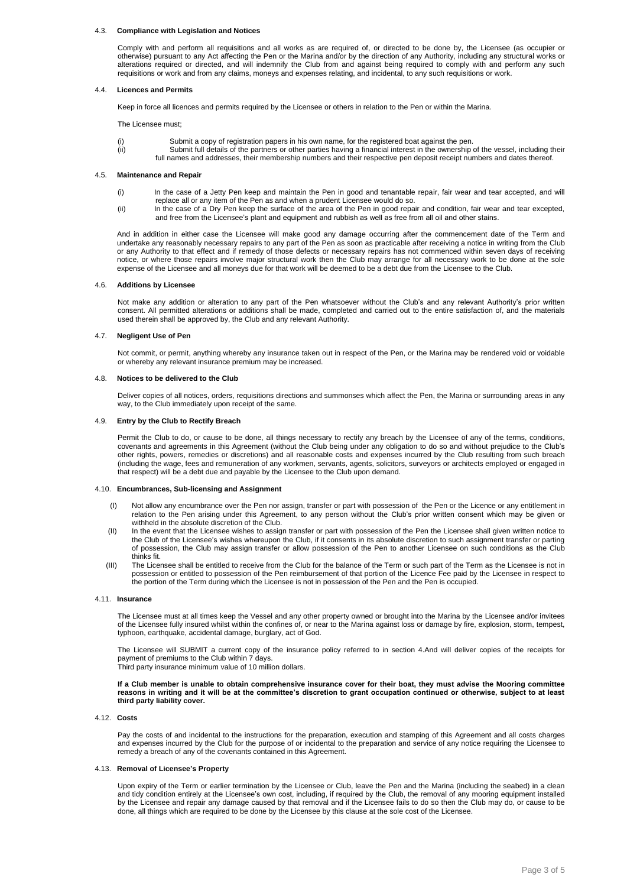#### 4.3. **Compliance with Legislation and Notices**

Comply with and perform all requisitions and all works as are required of, or directed to be done by, the Licensee (as occupier or otherwise) pursuant to any Act affecting the Pen or the Marina and/or by the direction of any Authority, including any structural works or alterations required or directed, and will indemnify the Club from and against being required to comply with and perform any such requisitions or work and from any claims, moneys and expenses relating, and incidental, to any such requisitions or work.

#### 4.4. **Licences and Permits**

Keep in force all licences and permits required by the Licensee or others in relation to the Pen or within the Marina.

The Licensee must;

- Submit a copy of registration papers in his own name, for the registered boat against the pen.
- (ii) Submit full details of the partners or other parties having a financial interest in the ownership of the vessel, including their full names and addresses, their membership numbers and their respective pen deposit receipt numbers and dates thereof.

## 4.5. **Maintenance and Repair**

- (i) In the case of a Jetty Pen keep and maintain the Pen in good and tenantable repair, fair wear and tear accepted, and will replace all or any item of the Pen as and when a prudent Licensee would do so.
- (ii) In the case of a Dry Pen keep the surface of the area of the Pen in good repair and condition, fair wear and tear excepted, and free from the Licensee's plant and equipment and rubbish as well as free from all oil and other stains.

And in addition in either case the Licensee will make good any damage occurring after the commencement date of the Term and undertake any reasonably necessary repairs to any part of the Pen as soon as practicable after receiving a notice in writing from the Club or any Authority to that effect and if remedy of those defects or necessary repairs has not commenced within seven days of receiving notice, or where those repairs involve major structural work then the Club may arrange for all necessary work to be done at the sole expense of the Licensee and all moneys due for that work will be deemed to be a debt due from the Licensee to the Club.

## 4.6. **Additions by Licensee**

Not make any addition or alteration to any part of the Pen whatsoever without the Club's and any relevant Authority's prior written consent. All permitted alterations or additions shall be made, completed and carried out to the entire satisfaction of, and the materials used therein shall be approved by, the Club and any relevant Authority.

## 4.7. **Negligent Use of Pen**

Not commit, or permit, anything whereby any insurance taken out in respect of the Pen, or the Marina may be rendered void or voidable or whereby any relevant insurance premium may be increased.

## 4.8. **Notices to be delivered to the Club**

Deliver copies of all notices, orders, requisitions directions and summonses which affect the Pen, the Marina or surrounding areas in any way, to the Club immediately upon receipt of the same.

#### 4.9. **Entry by the Club to Rectify Breach**

Permit the Club to do, or cause to be done, all things necessary to rectify any breach by the Licensee of any of the terms, conditions, covenants and agreements in this Agreement (without the Club being under any obligation to do so and without prejudice to the Club's other rights, powers, remedies or discretions) and all reasonable costs and expenses incurred by the Club resulting from such breach (including the wage, fees and remuneration of any workmen, servants, agents, solicitors, surveyors or architects employed or engaged in that respect) will be a debt due and payable by the Licensee to the Club upon demand.

## 4.10. **Encumbrances, Sub-licensing and Assignment**

- (I) Not allow any encumbrance over the Pen nor assign, transfer or part with possession of the Pen or the Licence or any entitlement in relation to the Pen arising under this Agreement, to any person without the Club's prior written consent which may be given or withheld in the absolute discretion of the Club.
- (II) In the event that the Licensee wishes to assign transfer or part with possession of the Pen the Licensee shall given written notice to the Club of the Licensee's wishes whereupon the Club, if it consents in its absolute discretion to such assignment transfer or parting of possession, the Club may assign transfer or allow possession of the Pen to another Licensee on such conditions as the Club thinks fit.
- (III) The Licensee shall be entitled to receive from the Club for the balance of the Term or such part of the Term as the Licensee is not in possession or entitled to possession of the Pen reimbursement of that portion of the Licence Fee paid by the Licensee in respect to the portion of the Term during which the Licensee is not in possession of the Pen and the Pen is occupied.

#### 4.11. **Insurance**

The Licensee must at all times keep the Vessel and any other property owned or brought into the Marina by the Licensee and/or invitees of the Licensee fully insured whilst within the confines of, or near to the Marina against loss or damage by fire, explosion, storm, tempest, typhoon, earthquake, accidental damage, burglary, act of God.

The Licensee will SUBMIT a current copy of the insurance policy referred to in section 4.And will deliver copies of the receipts for payment of premiums to the Club within 7 days. Third party insurance minimum value of 10 million dollars.

**If a Club member is unable to obtain comprehensive insurance cover for their boat, they must advise the Mooring committee reasons in writing and it will be at the committee's discretion to grant occupation continued or otherwise, subject to at least third party liability cover.**

#### 4.12. **Costs**

Pay the costs of and incidental to the instructions for the preparation, execution and stamping of this Agreement and all costs charges and expenses incurred by the Club for the purpose of or incidental to the preparation and service of any notice requiring the Licensee to remedy a breach of any of the covenants contained in this Agreement.

#### 4.13. **Removal of Licensee's Property**

Upon expiry of the Term or earlier termination by the Licensee or Club, leave the Pen and the Marina (including the seabed) in a clean and tidy condition entirely at the Licensee's own cost, including, if required by the Club, the removal of any mooring equipment installed by the Licensee and repair any damage caused by that removal and if the Licensee fails to do so then the Club may do, or cause to be done, all things which are required to be done by the Licensee by this clause at the sole cost of the Licensee.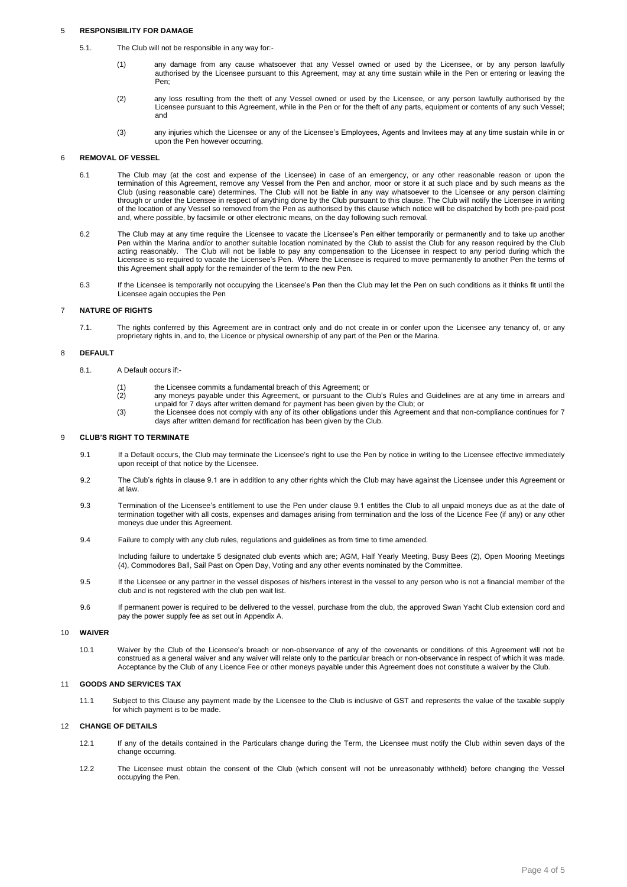# 5 **RESPONSIBILITY FOR DAMAGE**

- 5.1. The Club will not be responsible in any way for:-
	- (1) any damage from any cause whatsoever that any Vessel owned or used by the Licensee, or by any person lawfully authorised by the Licensee pursuant to this Agreement, may at any time sustain while in the Pen or entering or leaving the Pen;
	- (2) any loss resulting from the theft of any Vessel owned or used by the Licensee, or any person lawfully authorised by the Licensee pursuant to this Agreement, while in the Pen or for the theft of any parts, equipment or contents of any such Vessel; and
	- (3) any injuries which the Licensee or any of the Licensee's Employees, Agents and Invitees may at any time sustain while in or upon the Pen however occurring.

# 6 **REMOVAL OF VESSEL**

- 6.1 The Club may (at the cost and expense of the Licensee) in case of an emergency, or any other reasonable reason or upon the termination of this Agreement, remove any Vessel from the Pen and anchor, moor or store it at such place and by such means as the Club (using reasonable care) determines. The Club will not be liable in any way whatsoever to the Licensee or any person claiming through or under the Licensee in respect of anything done by the Club pursuant to this clause. The Club will notify the Licensee in writing of the location of any Vessel so removed from the Pen as authorised by this clause which notice will be dispatched by both pre-paid post and, where possible, by facsimile or other electronic means, on the day following such removal.
- 6.2 The Club may at any time require the Licensee to vacate the Licensee's Pen either temporarily or permanently and to take up another Pen within the Marina and/or to another suitable location nominated by the Club to assist the Club for any reason required by the Club acting reasonably. The Club will not be liable to pay any compensation to the Licensee in respect to any period during which the Licensee is so required to vacate the Licensee's Pen. Where the Licensee is required to move permanently to another Pen the terms of this Agreement shall apply for the remainder of the term to the new Pen.
- 6.3 If the Licensee is temporarily not occupying the Licensee's Pen then the Club may let the Pen on such conditions as it thinks fit until the Licensee again occupies the Pen

# 7 **NATURE OF RIGHTS**

7.1. The rights conferred by this Agreement are in contract only and do not create in or confer upon the Licensee any tenancy of, or any proprietary rights in, and to, the Licence or physical ownership of any part of the Pen or the Marina.

# 8 **DEFAULT**

- 8.1. A Default occurs if:-
	- (1) the Licensee commits a fundamental breach of this Agreement; or
	- any moneys payable under this Agreement, or pursuant to the Club's Rules and Guidelines are at any time in arrears and unpaid for 7 days after written demand for payment has been given by the Club; or
	- (3) the Licensee does not comply with any of its other obligations under this Agreement and that non-compliance continues for 7 days after written demand for rectification has been given by the Club.

# 9 **CLUB'S RIGHT TO TERMINATE**

- 9.1 If a Default occurs, the Club may terminate the Licensee's right to use the Pen by notice in writing to the Licensee effective immediately upon receipt of that notice by the Licensee.
- 9.2 The Club's rights in clause 9.1 are in addition to any other rights which the Club may have against the Licensee under this Agreement or at law.
- 9.3 Termination of the Licensee's entitlement to use the Pen under clause 9.1 entitles the Club to all unpaid moneys due as at the date of termination together with all costs, expenses and damages arising from termination and the loss of the Licence Fee (if any) or any other moneys due under this Agreement.
- 9.4 Failure to comply with any club rules, regulations and guidelines as from time to time amended.

Including failure to undertake 5 designated club events which are; AGM, Half Yearly Meeting, Busy Bees (2), Open Mooring Meetings (4), Commodores Ball, Sail Past on Open Day, Voting and any other events nominated by the Committee.

- 9.5 If the Licensee or any partner in the vessel disposes of his/hers interest in the vessel to any person who is not a financial member of the club and is not registered with the club pen wait list.
- 9.6 If permanent power is required to be delivered to the vessel, purchase from the club, the approved Swan Yacht Club extension cord and pay the power supply fee as set out in Appendix A.

# 10 **WAIVER**

10.1 Waiver by the Club of the Licensee's breach or non-observance of any of the covenants or conditions of this Agreement will not be construed as a general waiver and any waiver will relate only to the particular breach or non-observance in respect of which it was made. Acceptance by the Club of any Licence Fee or other moneys payable under this Agreement does not constitute a waiver by the Club.

#### 11 **GOODS AND SERVICES TAX**

11.1 Subject to this Clause any payment made by the Licensee to the Club is inclusive of GST and represents the value of the taxable supply for which payment is to be made.

#### 12 **CHANGE OF DETAILS**

- 12.1 If any of the details contained in the Particulars change during the Term, the Licensee must notify the Club within seven days of the change occurring.
- 12.2 The Licensee must obtain the consent of the Club (which consent will not be unreasonably withheld) before changing the Vessel occupying the Pen.